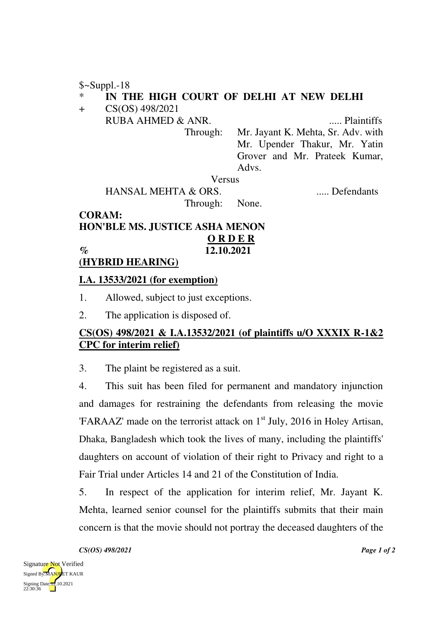\$~Suppl.-18

### IN THE HIGH COURT OF DELHI AT NEW DELHI

+ CS(OS) 498/2021

RUBA AHMED & ANR. ..... Plaintiffs

Through: Mr. Jayant K. Mehta, Sr. Adv. with Mr. Upender Thakur, Mr. Yatin Grover and Mr. Prateek Kumar, Advs.

Versus

 HANSAL MEHTA & ORS. ..... Defendants Through: None.

### **CORAM: HON'BLE MS. JUSTICE ASHA MENON O R D E R % 12.10.2021**

## **(HYBRID HEARING)**

### **I.A. 13533/2021 (for exemption)**

1. Allowed, subject to just exceptions.

2. The application is disposed of.

# **CS(OS) 498/2021 & I.A.13532/2021 (of plaintiffs u/O XXXIX R-1&2 CPC for interim relief)**

3. The plaint be registered as a suit.

4. This suit has been filed for permanent and mandatory injunction and damages for restraining the defendants from releasing the movie 'FARAAZ' made on the terrorist attack on  $1<sup>st</sup>$  July, 2016 in Holey Artisan, Dhaka, Bangladesh which took the lives of many, including the plaintiffs' daughters on account of violation of their right to Privacy and right to a Fair Trial under Articles 14 and 21 of the Constitution of India.

5. In respect of the application for interim relief, Mr. Jayant K. Mehta, learned senior counsel for the plaintiffs submits that their main concern is that the movie should not portray the deceased daughters of the

*CS(OS) 498/2021 Page 1 of 2*